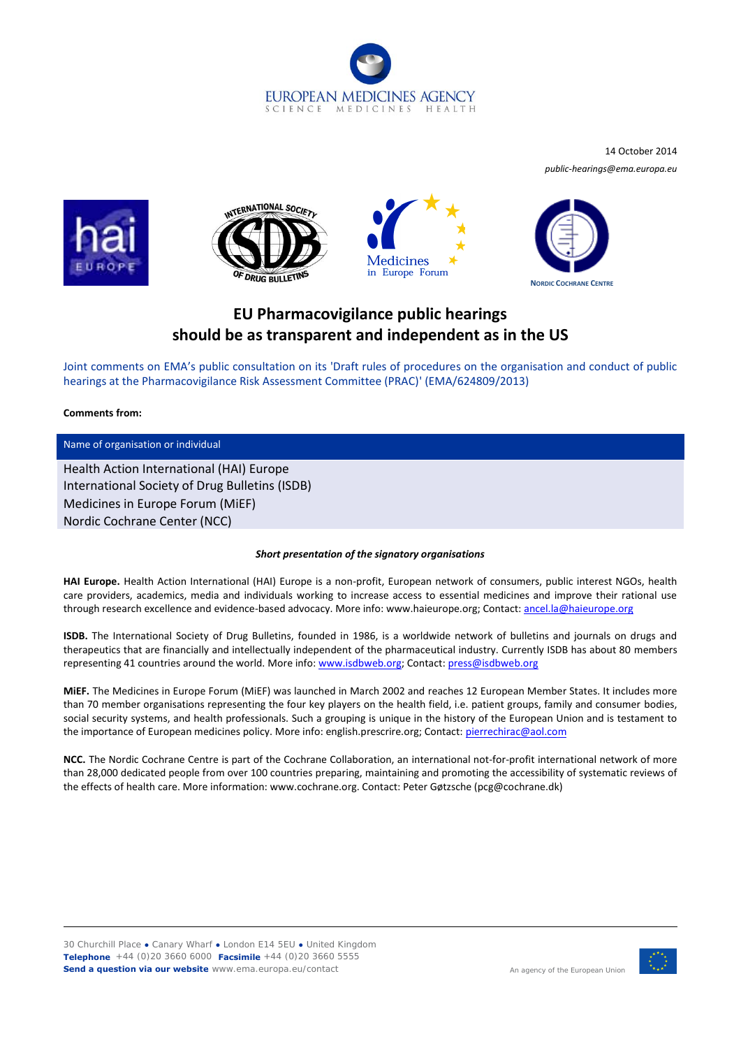

14 October 2014 *public-hearings@ema.europa.eu* 









# **EU Pharmacovigilance public hearings should be as transparent and independent as in the US**

Joint comments on EMA's public consultation on its 'Draft rules of procedures on the organisation and conduct of public hearings at the Pharmacovigilance Risk Assessment Committee (PRAC)' (EMA/624809/2013)

# **Comments from:**

# Name of organisation or individual

Health Action International (HAI) Europe International Society of Drug Bulletins (ISDB) Medicines in Europe Forum (MiEF) Nordic Cochrane Center (NCC)

# *Short presentation of the signatory organisations*

**HAI Europe.** Health Action International (HAI) Europe is a non-profit, European network of consumers, public interest NGOs, health care providers, academics, media and individuals working to increase access to essential medicines and improve their rational use through research excellence and evidence-based advocacy. More info: www.haieurope.org; Contact[: ancel.la@haieurope.org](mailto:ancel.la@haieurope.org) 

**ISDB.** The International Society of Drug Bulletins, founded in 1986, is a worldwide network of bulletins and journals on drugs and therapeutics that are financially and intellectually independent of the pharmaceutical industry. Currently ISDB has about 80 members representing 41 countries around the world. More info: [www.isdbweb.org;](http://www.isdbweb.org/) Contact[: press@isdbweb.org](mailto:press@isdbweb.org)

**MiEF.** The Medicines in Europe Forum (MiEF) was launched in March 2002 and reaches 12 European Member States. It includes more than 70 member organisations representing the four key players on the health field, i.e. patient groups, family and consumer bodies, social security systems, and health professionals. Such a grouping is unique in the history of the European Union and is testament to the importance of European medicines policy. More info: english.prescrire.org; Contact: [pierrechirac@aol.com](mailto:pierrechirac@aol.com)

**NCC.** The Nordic Cochrane Centre is part of the Cochrane Collaboration, an international not-for-profit international network of more than 28,000 dedicated people from over 100 countries preparing, maintaining and promoting the accessibility of systematic reviews of the effects of health care. More information: www.cochrane.org. Contact: Peter Gøtzsche (pcg@cochrane.dk)

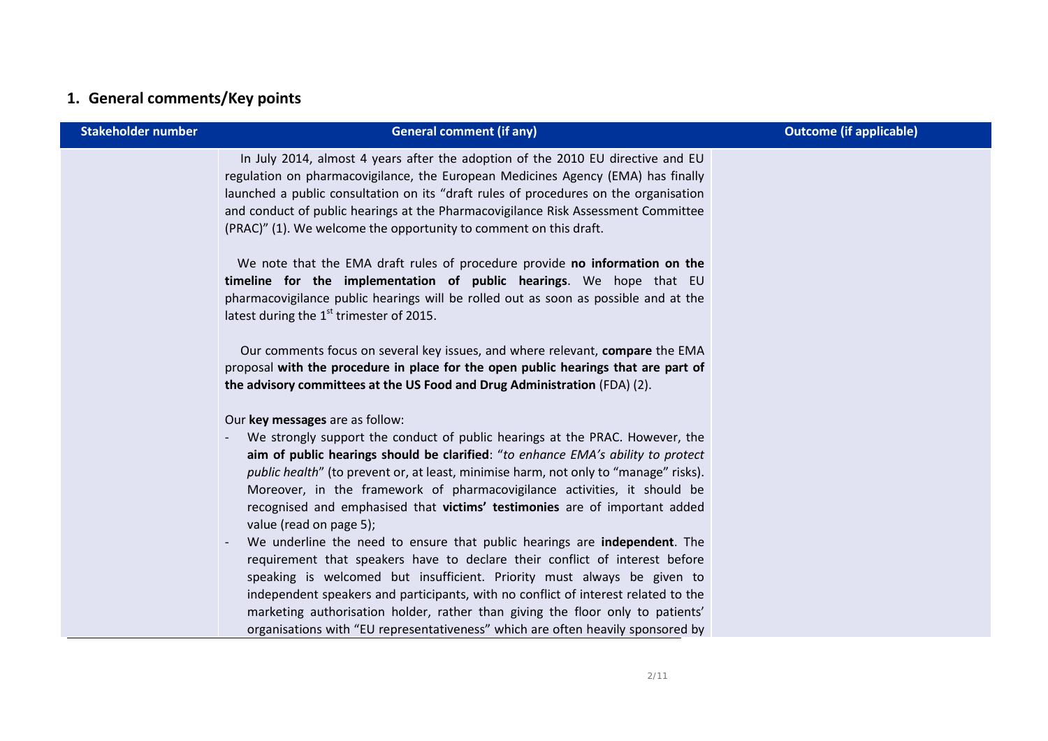# **1. General comments/Key points**

| <b>Stakeholder number</b> | <b>General comment (if any)</b>                                                                                                                                                                                                                                                                                                                                                                                                                                                                                                                                                                                                                                                                                                                                                                                                                                                                 | <b>Outcome (if applicable)</b> |
|---------------------------|-------------------------------------------------------------------------------------------------------------------------------------------------------------------------------------------------------------------------------------------------------------------------------------------------------------------------------------------------------------------------------------------------------------------------------------------------------------------------------------------------------------------------------------------------------------------------------------------------------------------------------------------------------------------------------------------------------------------------------------------------------------------------------------------------------------------------------------------------------------------------------------------------|--------------------------------|
|                           | In July 2014, almost 4 years after the adoption of the 2010 EU directive and EU<br>regulation on pharmacovigilance, the European Medicines Agency (EMA) has finally<br>launched a public consultation on its "draft rules of procedures on the organisation<br>and conduct of public hearings at the Pharmacovigilance Risk Assessment Committee<br>(PRAC)" (1). We welcome the opportunity to comment on this draft.                                                                                                                                                                                                                                                                                                                                                                                                                                                                           |                                |
|                           | We note that the EMA draft rules of procedure provide no information on the<br>timeline for the implementation of public hearings. We hope that EU<br>pharmacovigilance public hearings will be rolled out as soon as possible and at the<br>latest during the 1 <sup>st</sup> trimester of 2015.                                                                                                                                                                                                                                                                                                                                                                                                                                                                                                                                                                                               |                                |
|                           | Our comments focus on several key issues, and where relevant, compare the EMA<br>proposal with the procedure in place for the open public hearings that are part of<br>the advisory committees at the US Food and Drug Administration (FDA) (2).                                                                                                                                                                                                                                                                                                                                                                                                                                                                                                                                                                                                                                                |                                |
|                           | Our key messages are as follow:<br>We strongly support the conduct of public hearings at the PRAC. However, the<br>aim of public hearings should be clarified: "to enhance EMA's ability to protect<br>public health" (to prevent or, at least, minimise harm, not only to "manage" risks).<br>Moreover, in the framework of pharmacovigilance activities, it should be<br>recognised and emphasised that victims' testimonies are of important added<br>value (read on page 5);<br>We underline the need to ensure that public hearings are independent. The<br>requirement that speakers have to declare their conflict of interest before<br>speaking is welcomed but insufficient. Priority must always be given to<br>independent speakers and participants, with no conflict of interest related to the<br>marketing authorisation holder, rather than giving the floor only to patients' |                                |
|                           | organisations with "EU representativeness" which are often heavily sponsored by                                                                                                                                                                                                                                                                                                                                                                                                                                                                                                                                                                                                                                                                                                                                                                                                                 |                                |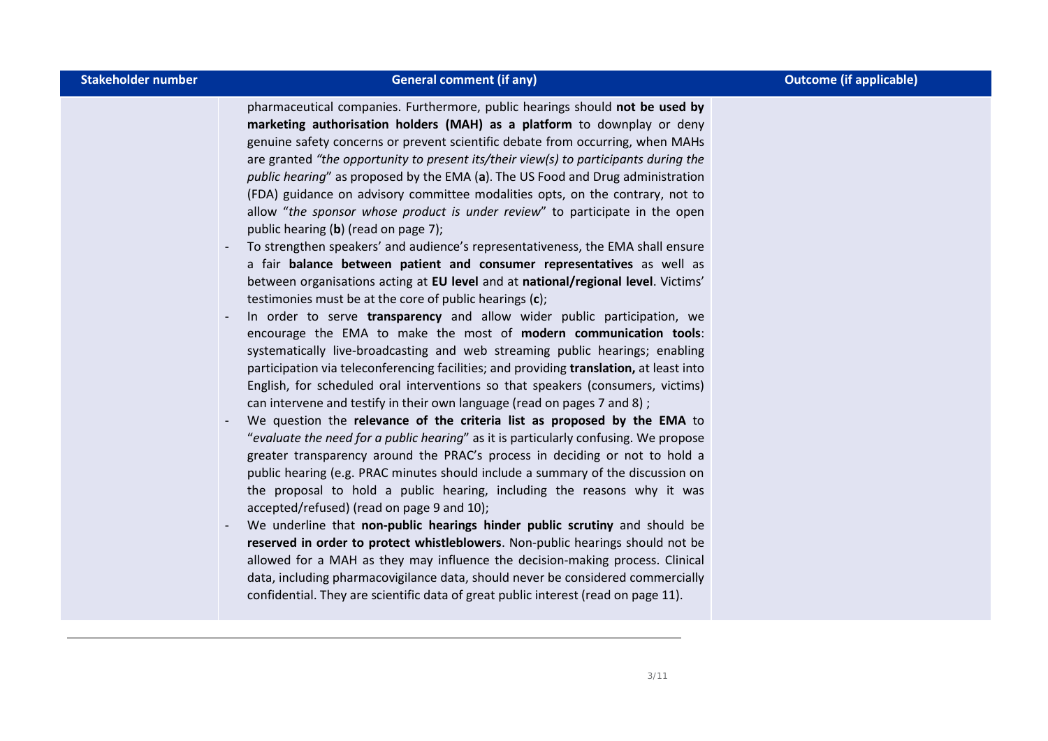# **Stakeholder number General comment (if any) Canadidate and Conference (if applicable)**

pharmaceutical companies. Furthermore, public hearings should **not be used by marketing authorisation holders (MAH) as a platform** to downplay or deny genuine safety concerns or prevent scientific debate from occurring, when MAHs are granted *"the opportunity to present its/their view(s) to participants during the public hearing*" as proposed by the EMA (**a**). The US Food and Drug administration (FDA) guidance on advisory committee modalities opts, on the contrary, not to allow "*the sponsor whose product is under review*" to participate in the open public hearing (**b**) (read on page 7);

- To strengthen speakers' and audience's representativeness, the EMA shall ensure a fair **balance between patient and consumer representatives** as well as between organisations acting at **EU level** and at **national/regional level**. Victims' testimonies must be at the core of public hearings (**c**);
- In order to serve **transparency** and allow wider public participation, we encourage the EMA to make the most of **modern communication tools**: systematically live-broadcasting and web streaming public hearings; enabling participation via teleconferencing facilities; and providing **translation,** at least into English, for scheduled oral interventions so that speakers (consumers, victims) can intervene and testify in their own language (read on pages 7 and 8) ;
- We question the **relevance of the criteria list as proposed by the EMA** to "*evaluate the need for a public hearing*" as it is particularly confusing. We propose greater transparency around the PRAC's process in deciding or not to hold a public hearing (e.g. PRAC minutes should include a summary of the discussion on the proposal to hold a public hearing, including the reasons why it was accepted/refused) (read on page 9 and 10);
- We underline that **non-public hearings hinder public scrutiny** and should be **reserved in order to protect whistleblowers**. Non-public hearings should not be allowed for a MAH as they may influence the decision-making process. Clinical data, including pharmacovigilance data, should never be considered commercially confidential. They are scientific data of great public interest (read on page 11).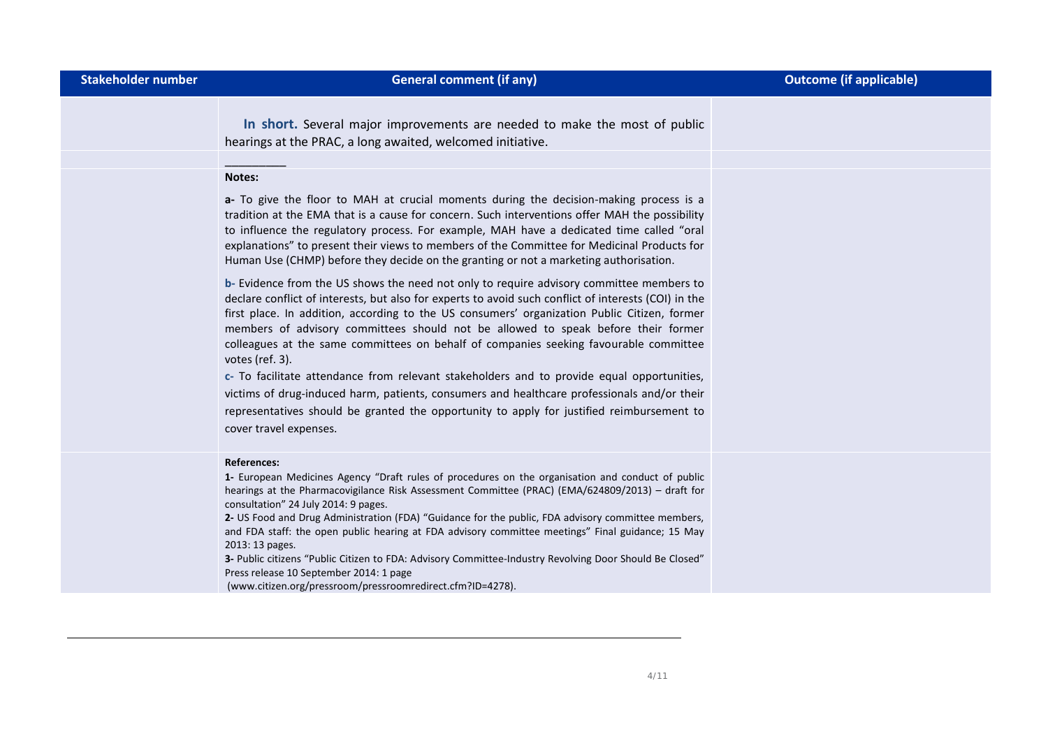**In short.** Several major improvements are needed to make the most of public hearings at the PRAC, a long awaited, welcomed initiative.

#### **Notes:**

 $\overline{\phantom{a}}$  , where  $\overline{\phantom{a}}$ 

**a-** To give the floor to MAH at crucial moments during the decision-making process is a tradition at the EMA that is a cause for concern. Such interventions offer MAH the possibility to influence the regulatory process. For example, MAH have a dedicated time called "oral explanations" to present their views to members of the Committee for Medicinal Products for Human Use (CHMP) before they decide on the granting or not a marketing authorisation.

**b-** Evidence from the US shows the need not only to require advisory committee members to declare conflict of interests, but also for experts to avoid such conflict of interests (COI) in the first place. In addition, according to the US consumers' organization Public Citizen, former members of advisory committees should not be allowed to speak before their former colleagues at the same committees on behalf of companies seeking favourable committee votes (ref. 3).

**c-** To facilitate attendance from relevant stakeholders and to provide equal opportunities, victims of drug-induced harm, patients, consumers and healthcare professionals and/or their representatives should be granted the opportunity to apply for justified reimbursement to cover travel expenses.

#### **References:**

**1-** European Medicines Agency "Draft rules of procedures on the organisation and conduct of public hearings at the Pharmacovigilance Risk Assessment Committee (PRAC) (EMA/624809/2013) – draft for consultation" 24 July 2014: 9 pages.

**2-** US Food and Drug Administration (FDA) "Guidance for the public, FDA advisory committee members, and FDA staff: the open public hearing at FDA advisory committee meetings" Final guidance; 15 May 2013: 13 pages.

**3-** Public citizens "Public Citizen to FDA: Advisory Committee-Industry Revolving Door Should Be Closed" Press release 10 September 2014: 1 page

(www.citizen.org/pressroom/pressroomredirect.cfm?ID=4278).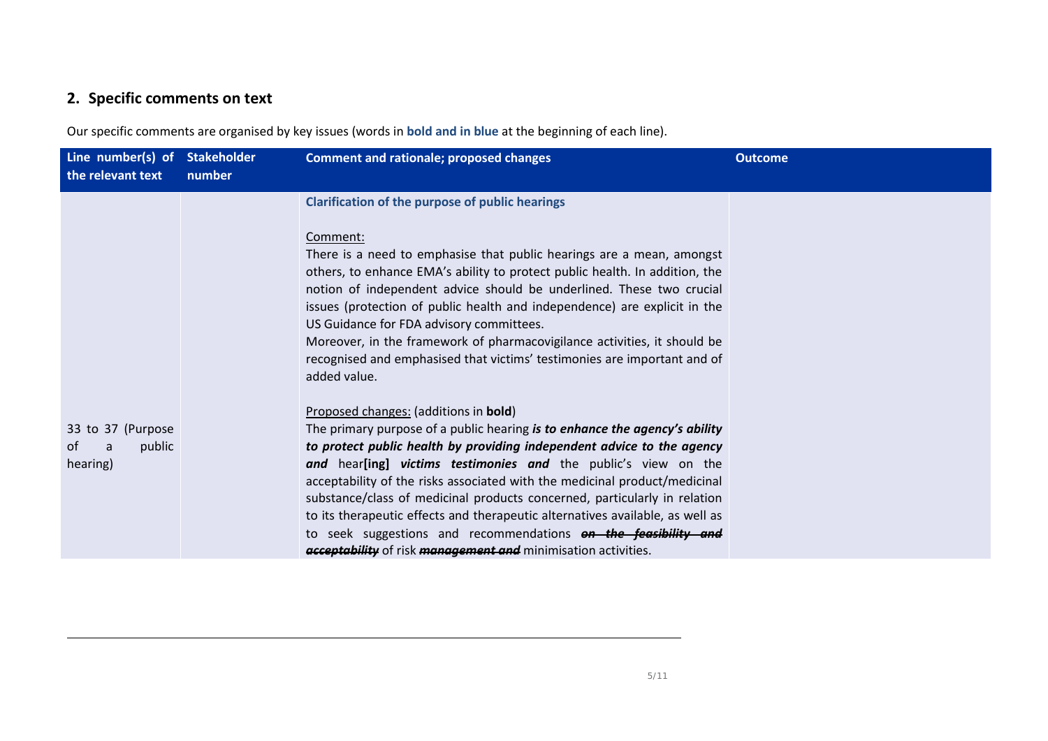# **2. Specific comments on text**

Our specific comments are organised by key issues (words in **bold and in blue** at the beginning of each line).

| Line number(s) of Stakeholder<br>the relevant text | number | <b>Comment and rationale; proposed changes</b>                                                                                                                                                                                                                                                                                                                                                                                                                                                                                                                                                                                                               | <b>Outcome</b> |
|----------------------------------------------------|--------|--------------------------------------------------------------------------------------------------------------------------------------------------------------------------------------------------------------------------------------------------------------------------------------------------------------------------------------------------------------------------------------------------------------------------------------------------------------------------------------------------------------------------------------------------------------------------------------------------------------------------------------------------------------|----------------|
|                                                    |        | <b>Clarification of the purpose of public hearings</b><br>Comment:<br>There is a need to emphasise that public hearings are a mean, amongst<br>others, to enhance EMA's ability to protect public health. In addition, the<br>notion of independent advice should be underlined. These two crucial<br>issues (protection of public health and independence) are explicit in the<br>US Guidance for FDA advisory committees.<br>Moreover, in the framework of pharmacovigilance activities, it should be<br>recognised and emphasised that victims' testimonies are important and of<br>added value.                                                          |                |
| 33 to 37 (Purpose<br>public<br>0f<br>a<br>hearing) |        | Proposed changes: (additions in bold)<br>The primary purpose of a public hearing is to enhance the agency's ability<br>to protect public health by providing independent advice to the agency<br>and hear[ing] victims testimonies and the public's view on the<br>acceptability of the risks associated with the medicinal product/medicinal<br>substance/class of medicinal products concerned, particularly in relation<br>to its therapeutic effects and therapeutic alternatives available, as well as<br>to seek suggestions and recommendations on the feasibility and<br><b>acceptability</b> of risk <b>management and</b> minimisation activities. |                |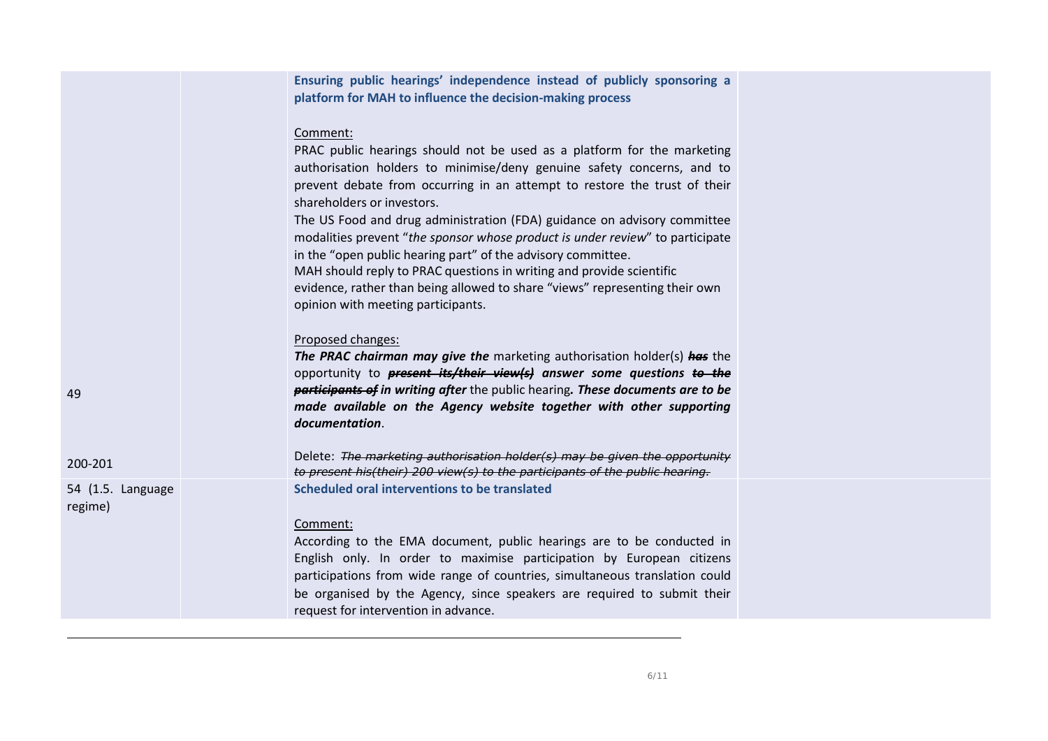| Ensuring public hearings' independence instead of publicly sponsoring a<br>platform for MAH to influence the decision-making process                                                                                                                                                                                                                                                                                                                                                                                                                                                                                                                                                               |  |
|----------------------------------------------------------------------------------------------------------------------------------------------------------------------------------------------------------------------------------------------------------------------------------------------------------------------------------------------------------------------------------------------------------------------------------------------------------------------------------------------------------------------------------------------------------------------------------------------------------------------------------------------------------------------------------------------------|--|
| Comment:<br>PRAC public hearings should not be used as a platform for the marketing<br>authorisation holders to minimise/deny genuine safety concerns, and to<br>prevent debate from occurring in an attempt to restore the trust of their<br>shareholders or investors.<br>The US Food and drug administration (FDA) guidance on advisory committee<br>modalities prevent "the sponsor whose product is under review" to participate<br>in the "open public hearing part" of the advisory committee.<br>MAH should reply to PRAC questions in writing and provide scientific<br>evidence, rather than being allowed to share "views" representing their own<br>opinion with meeting participants. |  |
| Proposed changes:<br><b>The PRAC chairman may give the</b> marketing authorisation holder(s) has the<br>opportunity to <b>present its/their view(s)</b> answer some questions to the<br>participants of in writing after the public hearing. These documents are to be<br>made available on the Agency website together with other supporting<br>documentation.                                                                                                                                                                                                                                                                                                                                    |  |
| Delete: The marketing authorisation holder(s) may be given the opportunity<br>to present his(their) 200 view(s) to the participants of the public hearing.                                                                                                                                                                                                                                                                                                                                                                                                                                                                                                                                         |  |
| Scheduled oral interventions to be translated<br>Comment:<br>According to the EMA document, public hearings are to be conducted in<br>English only. In order to maximise participation by European citizens<br>participations from wide range of countries, simultaneous translation could<br>be organised by the Agency, since speakers are required to submit their<br>request for intervention in advance.                                                                                                                                                                                                                                                                                      |  |
|                                                                                                                                                                                                                                                                                                                                                                                                                                                                                                                                                                                                                                                                                                    |  |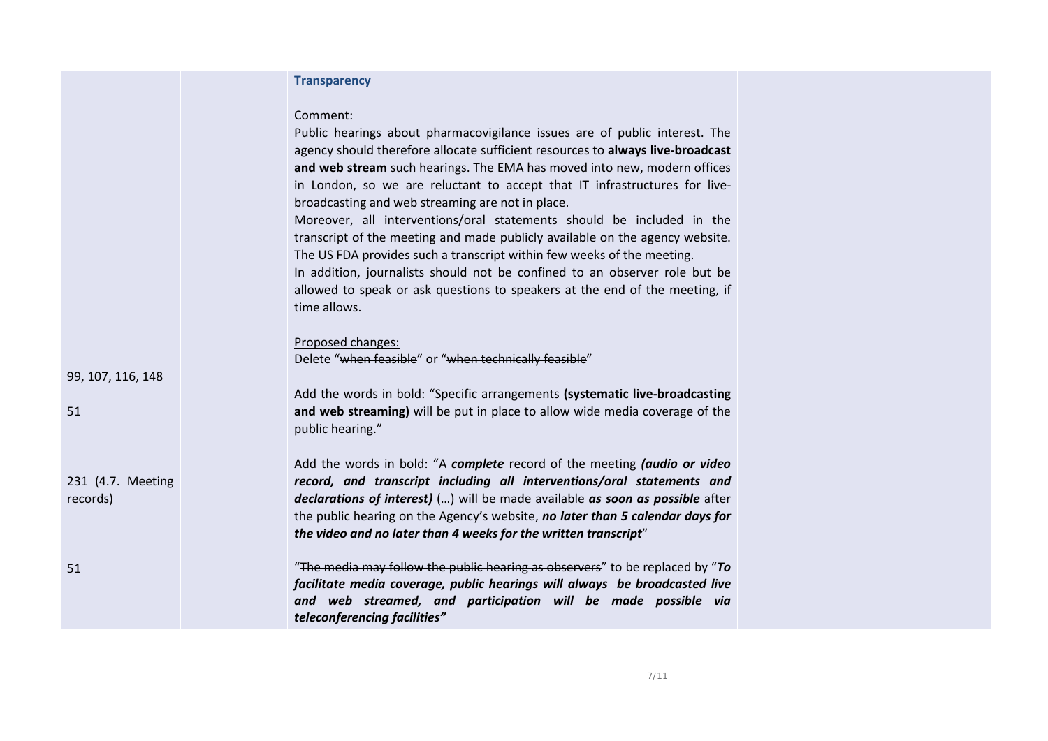|                               | <b>Transparency</b>                                                                                                                                                                                                                                                                                                                                                                                                                                                                                                                                                                                                                                                                                                                                                                                    |
|-------------------------------|--------------------------------------------------------------------------------------------------------------------------------------------------------------------------------------------------------------------------------------------------------------------------------------------------------------------------------------------------------------------------------------------------------------------------------------------------------------------------------------------------------------------------------------------------------------------------------------------------------------------------------------------------------------------------------------------------------------------------------------------------------------------------------------------------------|
|                               | Comment:<br>Public hearings about pharmacovigilance issues are of public interest. The<br>agency should therefore allocate sufficient resources to always live-broadcast<br>and web stream such hearings. The EMA has moved into new, modern offices<br>in London, so we are reluctant to accept that IT infrastructures for live-<br>broadcasting and web streaming are not in place.<br>Moreover, all interventions/oral statements should be included in the<br>transcript of the meeting and made publicly available on the agency website.<br>The US FDA provides such a transcript within few weeks of the meeting.<br>In addition, journalists should not be confined to an observer role but be<br>allowed to speak or ask questions to speakers at the end of the meeting, if<br>time allows. |
| 99, 107, 116, 148<br>51       | Proposed changes:<br>Delete "when feasible" or "when technically feasible"<br>Add the words in bold: "Specific arrangements (systematic live-broadcasting<br>and web streaming) will be put in place to allow wide media coverage of the<br>public hearing."                                                                                                                                                                                                                                                                                                                                                                                                                                                                                                                                           |
| 231 (4.7. Meeting<br>records) | Add the words in bold: "A complete record of the meeting (audio or video<br>record, and transcript including all interventions/oral statements and<br>declarations of interest) () will be made available as soon as possible after<br>the public hearing on the Agency's website, no later than 5 calendar days for<br>the video and no later than 4 weeks for the written transcript"                                                                                                                                                                                                                                                                                                                                                                                                                |
| 51                            | "The media may follow the public hearing as observers" to be replaced by "To<br>facilitate media coverage, public hearings will always be broadcasted live<br>and web streamed, and participation will be made possible via<br>teleconferencing facilities"                                                                                                                                                                                                                                                                                                                                                                                                                                                                                                                                            |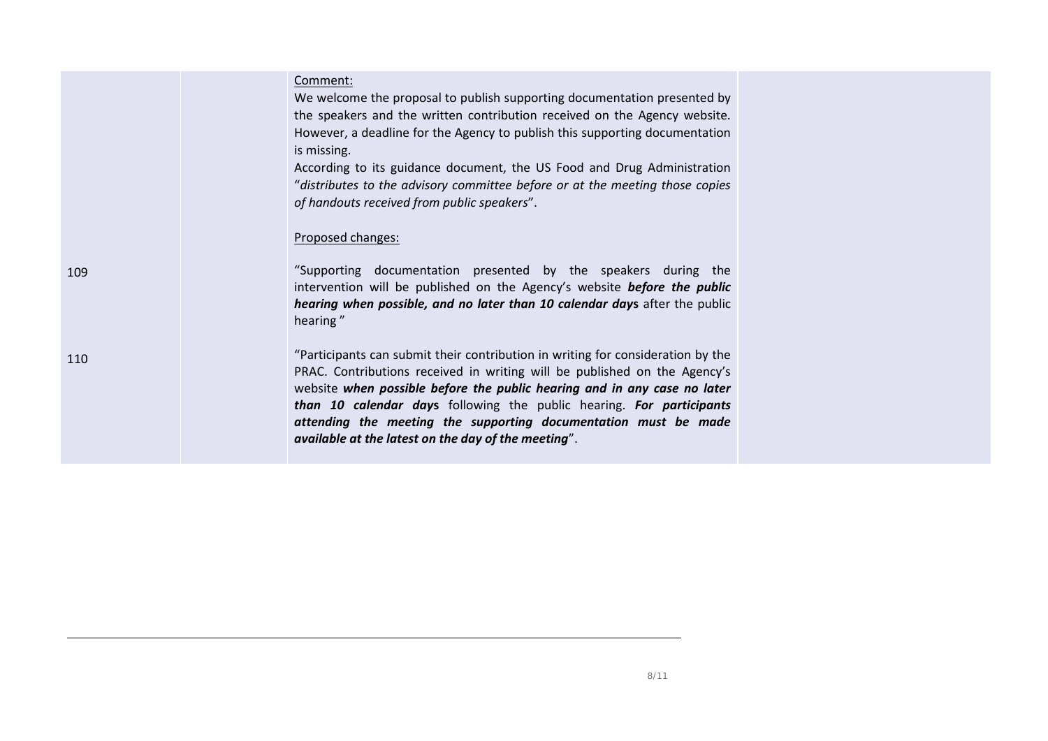|     | Comment:<br>We welcome the proposal to publish supporting documentation presented by<br>the speakers and the written contribution received on the Agency website.<br>However, a deadline for the Agency to publish this supporting documentation<br>is missing.<br>According to its guidance document, the US Food and Drug Administration<br>"distributes to the advisory committee before or at the meeting those copies<br>of handouts received from public speakers". |  |
|-----|---------------------------------------------------------------------------------------------------------------------------------------------------------------------------------------------------------------------------------------------------------------------------------------------------------------------------------------------------------------------------------------------------------------------------------------------------------------------------|--|
|     | Proposed changes:                                                                                                                                                                                                                                                                                                                                                                                                                                                         |  |
| 109 | "Supporting documentation presented by the speakers during the<br>intervention will be published on the Agency's website before the public<br>hearing when possible, and no later than 10 calendar days after the public<br>hearing"                                                                                                                                                                                                                                      |  |
| 110 | "Participants can submit their contribution in writing for consideration by the<br>PRAC. Contributions received in writing will be published on the Agency's<br>website when possible before the public hearing and in any case no later<br>than 10 calendar days following the public hearing. For participants<br>attending the meeting the supporting documentation must be made<br>available at the latest on the day of the meeting".                                |  |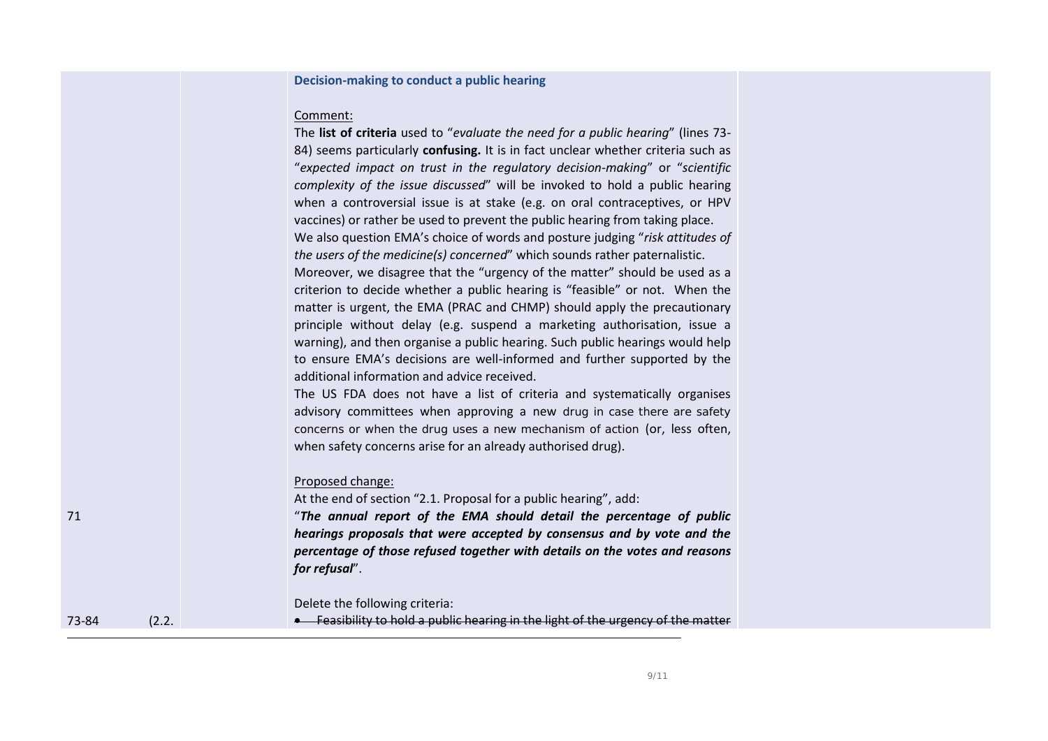## **Decision-making to conduct a public hearing**

### Comment:

The **list of criteria** used to "*evaluate the need for a public hearing*" (lines 73- 84) seems particularly **confusing.** It is in fact unclear whether criteria such as "*expected impact on trust in the regulatory decision-making*" or "*scientific complexity of the issue discussed*" will be invoked to hold a public hearing when a controversial issue is at stake (e.g. on oral contraceptives, or HPV vaccines) or rather be used to prevent the public hearing from taking place. We also question EMA's choice of words and posture judging "*risk attitudes of the users of the medicine(s) concerned*" which sounds rather paternalistic. Moreover, we disagree that the "urgency of the matter" should be used as a criterion to decide whether a public hearing is "feasible" or not. When the matter is urgent, the EMA (PRAC and CHMP) should apply the precautionary principle without delay (e.g. suspend a marketing authorisation, issue a warning), and then organise a public hearing. Such public hearings would help to ensure EMA's decisions are well-informed and further supported by the additional information and advice received.

The US FDA does not have a list of criteria and systematically organises advisory committees when approving a new drug in case there are safety concerns or when the drug uses a new mechanism of action (or, less often, when safety concerns arise for an already authorised drug).

### Proposed change:

71

73-84 (2.2.

At the end of section "2.1. Proposal for a public hearing", add:

"*The annual report of the EMA should detail the percentage of public hearings proposals that were accepted by consensus and by vote and the percentage of those refused together with details on the votes and reasons for refusal*".

## Delete the following criteria:

Feasibility to hold a public hearing in the light of the urgency of the matter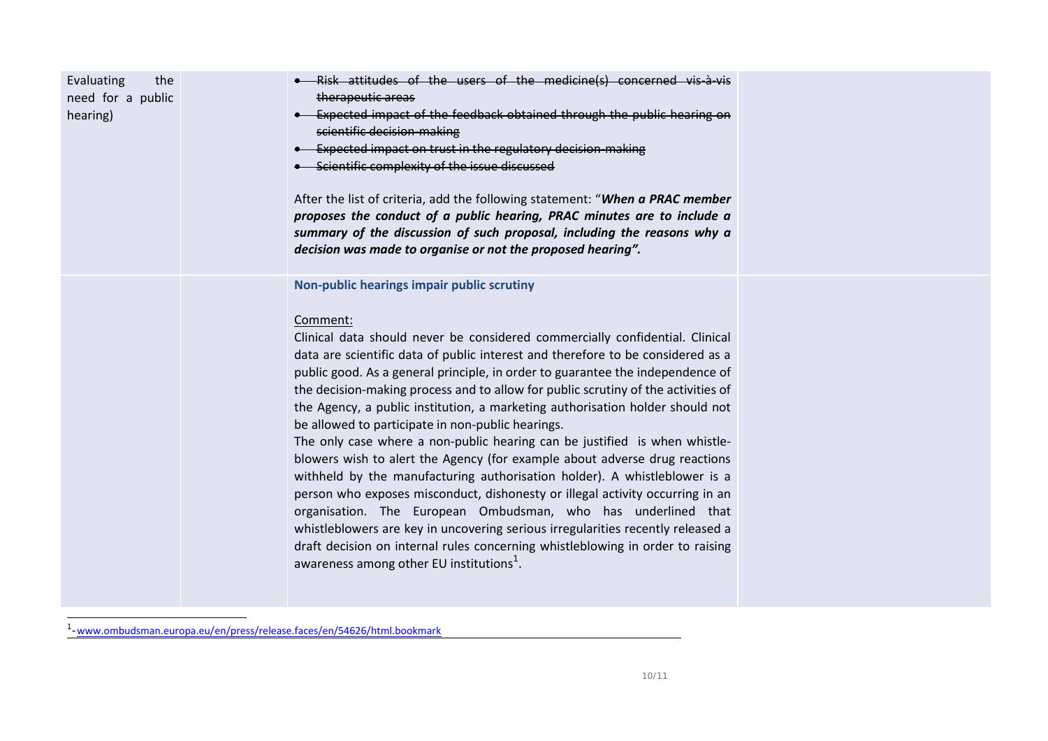| Evaluating<br>the<br>need for a public<br>hearing) | . Risk attitudes of the users of the medicine(s) concerned vis-à-vis<br>therapeutic areas<br>Expected impact of the feedback obtained through the public hearing on<br>scientific decision making<br>• Expected impact on trust in the regulatory decision-making<br>• Scientific complexity of the issue discussed<br>After the list of criteria, add the following statement: "When a PRAC member<br>proposes the conduct of a public hearing, PRAC minutes are to include a<br>summary of the discussion of such proposal, including the reasons why a<br>decision was made to organise or not the proposed hearing".                                                                                                                                                                                                                                                                                                                                                                                                                                                                                                                                       |  |
|----------------------------------------------------|----------------------------------------------------------------------------------------------------------------------------------------------------------------------------------------------------------------------------------------------------------------------------------------------------------------------------------------------------------------------------------------------------------------------------------------------------------------------------------------------------------------------------------------------------------------------------------------------------------------------------------------------------------------------------------------------------------------------------------------------------------------------------------------------------------------------------------------------------------------------------------------------------------------------------------------------------------------------------------------------------------------------------------------------------------------------------------------------------------------------------------------------------------------|--|
|                                                    | Non-public hearings impair public scrutiny<br>Comment:<br>Clinical data should never be considered commercially confidential. Clinical<br>data are scientific data of public interest and therefore to be considered as a<br>public good. As a general principle, in order to guarantee the independence of<br>the decision-making process and to allow for public scrutiny of the activities of<br>the Agency, a public institution, a marketing authorisation holder should not<br>be allowed to participate in non-public hearings.<br>The only case where a non-public hearing can be justified is when whistle-<br>blowers wish to alert the Agency (for example about adverse drug reactions<br>withheld by the manufacturing authorisation holder). A whistleblower is a<br>person who exposes misconduct, dishonesty or illegal activity occurring in an<br>organisation. The European Ombudsman, who has underlined that<br>whistleblowers are key in uncovering serious irregularities recently released a<br>draft decision on internal rules concerning whistleblowing in order to raising<br>awareness among other EU institutions <sup>1</sup> . |  |

 1 -[www.ombudsman.europa.eu/en/press/release.faces/en/54626/html.bookmark](http://www.ombudsman.europa.eu/en/press/release.faces/en/54626/html.bookmark)